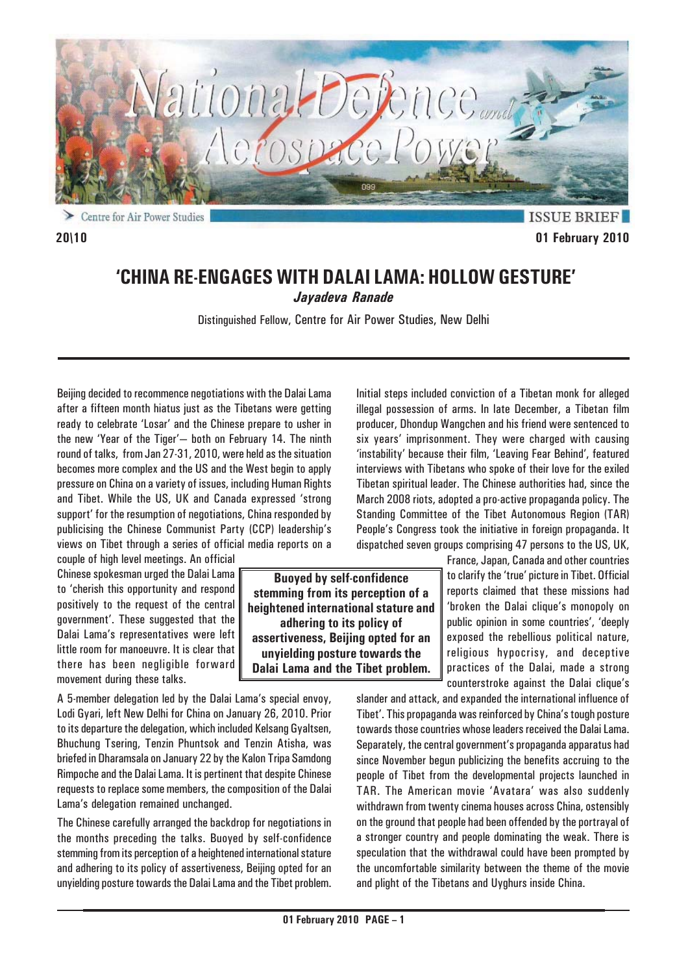

Centre for Air Power Studies ⋗

**ISSUE BRIEF 20\10 01 February 2010**

# **'CHINA RE-ENGAGES WITH DALAI LAMA: HOLLOW GESTURE'** *Jayadeva Ranade*

Distinguished Fellow, Centre for Air Power Studies, New Delhi

Beijing decided to recommence negotiations with the Dalai Lama after a fifteen month hiatus just as the Tibetans were getting ready to celebrate 'Losar' and the Chinese prepare to usher in the new 'Year of the Tiger'— both on February 14. The ninth round of talks, from Jan 27-31, 2010, were held as the situation becomes more complex and the US and the West begin to apply pressure on China on a variety of issues, including Human Rights and Tibet. While the US, UK and Canada expressed 'strong support' for the resumption of negotiations, China responded by publicising the Chinese Communist Party (CCP) leadership's views on Tibet through a series of official media reports on a

couple of high level meetings. An official Chinese spokesman urged the Dalai Lama to 'cherish this opportunity and respond positively to the request of the central government'. These suggested that the Dalai Lama's representatives were left little room for manoeuvre. It is clear that there has been negligible forward movement during these talks.

A 5-member delegation led by the Dalai Lama's special envoy, Lodi Gyari, left New Delhi for China on January 26, 2010. Prior to its departure the delegation, which included Kelsang Gyaltsen, Bhuchung Tsering, Tenzin Phuntsok and Tenzin Atisha, was briefed in Dharamsala on January 22 by the Kalon Tripa Samdong Rimpoche and the Dalai Lama. It is pertinent that despite Chinese requests to replace some members, the composition of the Dalai Lama's delegation remained unchanged.

The Chinese carefully arranged the backdrop for negotiations in the months preceding the talks. Buoyed by self-confidence stemming from its perception of a heightened international stature and adhering to its policy of assertiveness, Beijing opted for an unyielding posture towards the Dalai Lama and the Tibet problem. Initial steps included conviction of a Tibetan monk for alleged illegal possession of arms. In late December, a Tibetan film producer, Dhondup Wangchen and his friend were sentenced to six years' imprisonment. They were charged with causing 'instability' because their film, 'Leaving Fear Behind', featured interviews with Tibetans who spoke of their love for the exiled Tibetan spiritual leader. The Chinese authorities had, since the March 2008 riots, adopted a pro-active propaganda policy. The Standing Committee of the Tibet Autonomous Region (TAR) People's Congress took the initiative in foreign propaganda. It dispatched seven groups comprising 47 persons to the US, UK,

> France, Japan, Canada and other countries to clarify the 'true' picture in Tibet. Official reports claimed that these missions had 'broken the Dalai clique's monopoly on public opinion in some countries', 'deeply exposed the rebellious political nature, religious hypocrisy, and deceptive practices of the Dalai, made a strong counterstroke against the Dalai clique's

slander and attack, and expanded the international influence of Tibet'. This propaganda was reinforced by China's tough posture towards those countries whose leaders received the Dalai Lama. Separately, the central government's propaganda apparatus had since November begun publicizing the benefits accruing to the people of Tibet from the developmental projects launched in TAR. The American movie 'Avatara' was also suddenly withdrawn from twenty cinema houses across China, ostensibly on the ground that people had been offended by the portrayal of a stronger country and people dominating the weak. There is speculation that the withdrawal could have been prompted by the uncomfortable similarity between the theme of the movie and plight of the Tibetans and Uyghurs inside China.

**Buoyed by self-confidence stemming from its perception of a heightened international stature and adhering to its policy of assertiveness, Beijing opted for an unyielding posture towards the Dalai Lama and the Tibet problem.**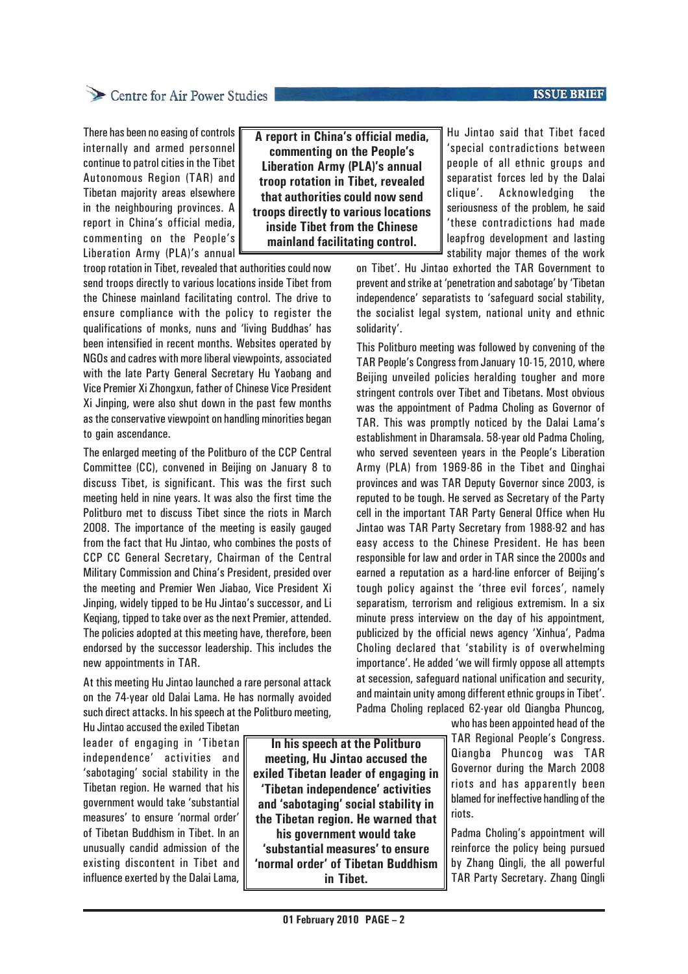### **ISSUE BRIEF**

## Centre for Air Power Studies

There has been no easing of controls internally and armed personnel continue to patrol cities in the Tibet Autonomous Region (TAR) and Tibetan majority areas elsewhere in the neighbouring provinces. A report in China's official media, commenting on the People's Liberation Army (PLA)'s annual

**A report in China's official media, commenting on the People's Liberation Army (PLA)'s annual troop rotation in Tibet, revealed that authorities could now send troops directly to various locations inside Tibet from the Chinese mainland facilitating control.**

troop rotation in Tibet, revealed that authorities could now send troops directly to various locations inside Tibet from the Chinese mainland facilitating control. The drive to ensure compliance with the policy to register the qualifications of monks, nuns and 'living Buddhas' has been intensified in recent months. Websites operated by NGOs and cadres with more liberal viewpoints, associated with the late Party General Secretary Hu Yaobang and Vice Premier Xi Zhongxun, father of Chinese Vice President Xi Jinping, were also shut down in the past few months as the conservative viewpoint on handling minorities began to gain ascendance.

The enlarged meeting of the Politburo of the CCP Central Committee (CC), convened in Beijing on January 8 to discuss Tibet, is significant. This was the first such meeting held in nine years. It was also the first time the Politburo met to discuss Tibet since the riots in March 2008. The importance of the meeting is easily gauged from the fact that Hu Jintao, who combines the posts of CCP CC General Secretary, Chairman of the Central Military Commission and China's President, presided over the meeting and Premier Wen Jiabao, Vice President Xi Jinping, widely tipped to be Hu Jintao's successor, and Li Keqiang, tipped to take over as the next Premier, attended. The policies adopted at this meeting have, therefore, been endorsed by the successor leadership. This includes the new appointments in TAR.

At this meeting Hu Jintao launched a rare personal attack on the 74-year old Dalai Lama. He has normally avoided such direct attacks. In his speech at the Politburo meeting,

Hu Jintao accused the exiled Tibetan leader of engaging in 'Tibetan independence' activities and 'sabotaging' social stability in the Tibetan region. He warned that his government would take 'substantial measures' to ensure 'normal order' of Tibetan Buddhism in Tibet. In an unusually candid admission of the existing discontent in Tibet and influence exerted by the Dalai Lama,

**In his speech at the Politburo meeting, Hu Jintao accused the exiled Tibetan leader of engaging in 'Tibetan independence' activities and 'sabotaging' social stability in the Tibetan region. He warned that his government would take 'substantial measures' to ensure 'normal order' of Tibetan Buddhism in Tibet.**

Hu Jintao said that Tibet faced 'special contradictions between people of all ethnic groups and separatist forces led by the Dalai clique'. Acknowledging the seriousness of the problem, he said 'these contradictions had made leapfrog development and lasting stability major themes of the work

on Tibet'. Hu Jintao exhorted the TAR Government to prevent and strike at 'penetration and sabotage' by 'Tibetan independence' separatists to 'safeguard social stability, the socialist legal system, national unity and ethnic solidarity'.

This Politburo meeting was followed by convening of the TAR People's Congress from January 10-15, 2010, where Beijing unveiled policies heralding tougher and more stringent controls over Tibet and Tibetans. Most obvious was the appointment of Padma Choling as Governor of TAR. This was promptly noticed by the Dalai Lama's establishment in Dharamsala. 58-year old Padma Choling, who served seventeen years in the People's Liberation Army (PLA) from 1969-86 in the Tibet and Qinghai provinces and was TAR Deputy Governor since 2003, is reputed to be tough. He served as Secretary of the Party cell in the important TAR Party General Office when Hu Jintao was TAR Party Secretary from 1988-92 and has easy access to the Chinese President. He has been responsible for law and order in TAR since the 2000s and earned a reputation as a hard-line enforcer of Beijing's tough policy against the 'three evil forces', namely separatism, terrorism and religious extremism. In a six minute press interview on the day of his appointment, publicized by the official news agency 'Xinhua', Padma Choling declared that 'stability is of overwhelming importance'. He added 'we will firmly oppose all attempts at secession, safeguard national unification and security, and maintain unity among different ethnic groups in Tibet'. Padma Choling replaced 62-year old Qiangba Phuncog,

who has been appointed head of the TAR Regional People's Congress. Qiangba Phuncog was TAR Governor during the March 2008 riots and has apparently been blamed for ineffective handling of the riots.

Padma Choling's appointment will reinforce the policy being pursued by Zhang Qingli, the all powerful TAR Party Secretary. Zhang Qingli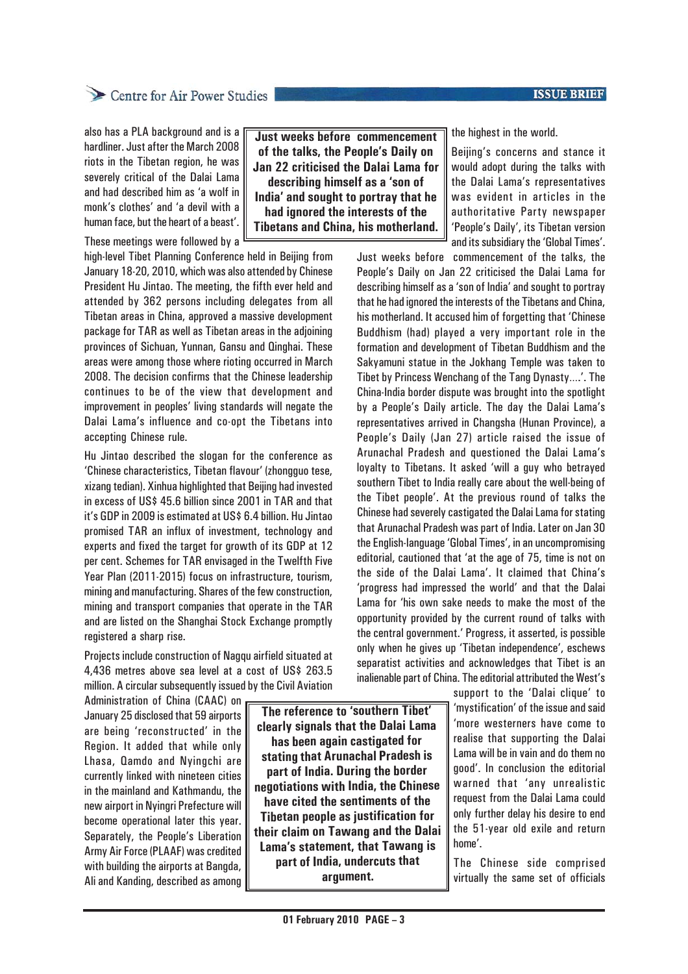### **ISSUE BRIEF**

also has a PLA background and is a hardliner. Just after the March 2008 riots in the Tibetan region, he was severely critical of the Dalai Lama and had described him as 'a wolf in monk's clothes' and 'a devil with a human face, but the heart of a beast'.

These meetings were followed by a

high-level Tibet Planning Conference held in Beijing from January 18-20, 2010, which was also attended by Chinese President Hu Jintao. The meeting, the fifth ever held and attended by 362 persons including delegates from all Tibetan areas in China, approved a massive development package for TAR as well as Tibetan areas in the adjoining provinces of Sichuan, Yunnan, Gansu and Qinghai. These areas were among those where rioting occurred in March 2008. The decision confirms that the Chinese leadership continues to be of the view that development and improvement in peoples' living standards will negate the Dalai Lama's influence and co-opt the Tibetans into accepting Chinese rule.

Hu Jintao described the slogan for the conference as 'Chinese characteristics, Tibetan flavour' (zhongguo tese, xizang tedian). Xinhua highlighted that Beijing had invested in excess of US\$ 45.6 billion since 2001 in TAR and that it's GDP in 2009 is estimated at US\$ 6.4 billion. Hu Jintao promised TAR an influx of investment, technology and experts and fixed the target for growth of its GDP at 12 per cent. Schemes for TAR envisaged in the Twelfth Five Year Plan (2011-2015) focus on infrastructure, tourism, mining and manufacturing. Shares of the few construction, mining and transport companies that operate in the TAR and are listed on the Shanghai Stock Exchange promptly registered a sharp rise.

Projects include construction of Nagqu airfield situated at 4,436 metres above sea level at a cost of US\$ 263.5 million. A circular subsequently issued by the Civil Aviation

Administration of China (CAAC) on January 25 disclosed that 59 airports are being 'reconstructed' in the Region. It added that while only Lhasa, Qamdo and Nyingchi are currently linked with nineteen cities in the mainland and Kathmandu, the new airport in Nyingri Prefecture will become operational later this year. Separately, the People's Liberation Army Air Force (PLAAF) was credited with building the airports at Bangda, Ali and Kanding, described as among

**The reference to 'southern Tibet' clearly signals that the Dalai Lama has been again castigated for stating that Arunachal Pradesh is part of India. During the border negotiations with India, the Chinese have cited the sentiments of the Tibetan people as justification for their claim on Tawang and the Dalai Lama's statement, that Tawang is part of India, undercuts that argument.**

**Just weeks before commencement of the talks, the People's Daily on Jan 22 criticised the Dalai Lama for describing himself as a 'son of India' and sought to portray that he had ignored the interests of the Tibetans and China, his motherland.** the highest in the world.

Beijing's concerns and stance it would adopt during the talks with the Dalai Lama's representatives was evident in articles in the authoritative Party newspaper 'People's Daily', its Tibetan version and its subsidiary the 'Global Times'.

Just weeks before commencement of the talks, the People's Daily on Jan 22 criticised the Dalai Lama for describing himself as a 'son of India' and sought to portray that he had ignored the interests of the Tibetans and China, his motherland. It accused him of forgetting that 'Chinese Buddhism (had) played a very important role in the formation and development of Tibetan Buddhism and the Sakyamuni statue in the Jokhang Temple was taken to Tibet by Princess Wenchang of the Tang Dynasty….'. The China-India border dispute was brought into the spotlight by a People's Daily article. The day the Dalai Lama's representatives arrived in Changsha (Hunan Province), a People's Daily (Jan 27) article raised the issue of Arunachal Pradesh and questioned the Dalai Lama's loyalty to Tibetans. It asked 'will a guy who betrayed southern Tibet to India really care about the well-being of the Tibet people'. At the previous round of talks the Chinese had severely castigated the Dalai Lama for stating that Arunachal Pradesh was part of India. Later on Jan 30 the English-language 'Global Times', in an uncompromising editorial, cautioned that 'at the age of 75, time is not on the side of the Dalai Lama'. It claimed that China's 'progress had impressed the world' and that the Dalai Lama for 'his own sake needs to make the most of the opportunity provided by the current round of talks with the central government.' Progress, it asserted, is possible only when he gives up 'Tibetan independence', eschews separatist activities and acknowledges that Tibet is an inalienable part of China. The editorial attributed the West's

> support to the 'Dalai clique' to 'mystification' of the issue and said 'more westerners have come to realise that supporting the Dalai Lama will be in vain and do them no good'. In conclusion the editorial warned that 'any unrealistic request from the Dalai Lama could only further delay his desire to end the 51-year old exile and return home'.

The Chinese side comprised virtually the same set of officials